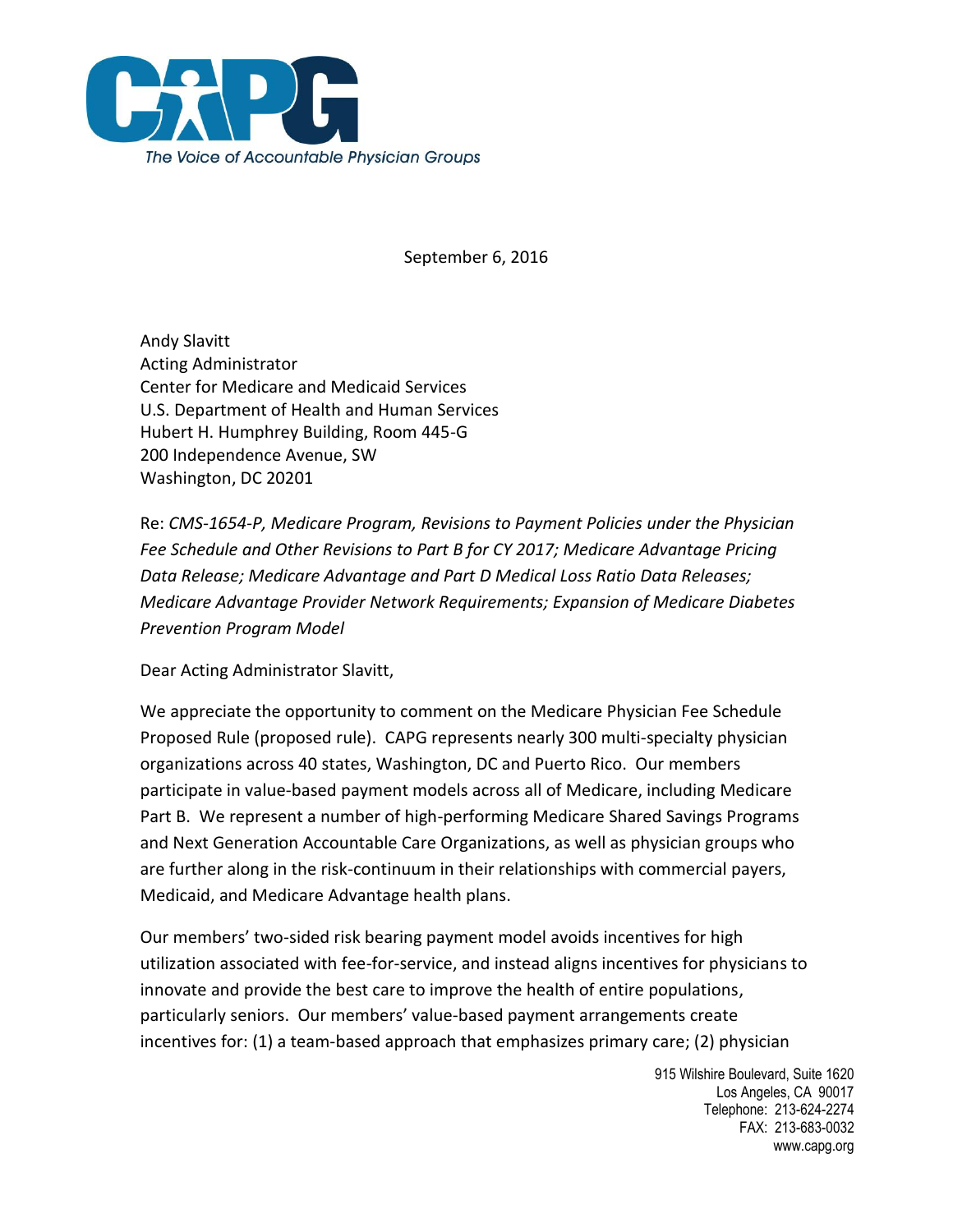

September 6, 2016

Andy Slavitt Acting Administrator Center for Medicare and Medicaid Services U.S. Department of Health and Human Services Hubert H. Humphrey Building, Room 445-G 200 Independence Avenue, SW Washington, DC 20201

Re: *CMS-1654-P, Medicare Program, Revisions to Payment Policies under the Physician Fee Schedule and Other Revisions to Part B for CY 2017; Medicare Advantage Pricing Data Release; Medicare Advantage and Part D Medical Loss Ratio Data Releases; Medicare Advantage Provider Network Requirements; Expansion of Medicare Diabetes Prevention Program Model*

Dear Acting Administrator Slavitt,

We appreciate the opportunity to comment on the Medicare Physician Fee Schedule Proposed Rule (proposed rule). CAPG represents nearly 300 multi-specialty physician organizations across 40 states, Washington, DC and Puerto Rico. Our members participate in value-based payment models across all of Medicare, including Medicare Part B. We represent a number of high-performing Medicare Shared Savings Programs and Next Generation Accountable Care Organizations, as well as physician groups who are further along in the risk-continuum in their relationships with commercial payers, Medicaid, and Medicare Advantage health plans.

Our members' two-sided risk bearing payment model avoids incentives for high utilization associated with fee-for-service, and instead aligns incentives for physicians to innovate and provide the best care to improve the health of entire populations, particularly seniors. Our members' value-based payment arrangements create incentives for: (1) a team-based approach that emphasizes primary care; (2) physician

> 915 Wilshire Boulevard, Suite 1620 Los Angeles, CA 90017 Telephone: 213-624-2274 FAX: 213-683-0032 www.capg.org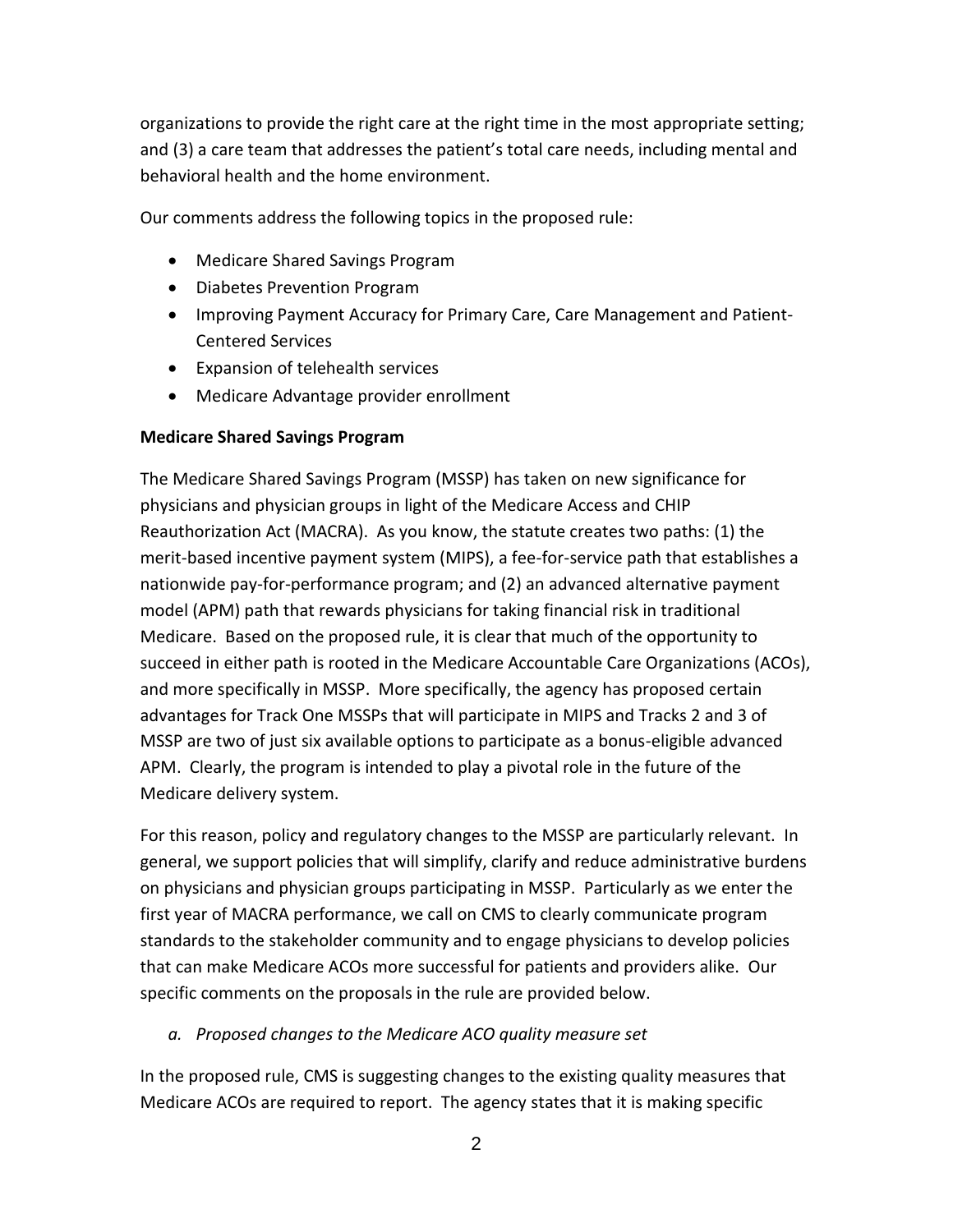organizations to provide the right care at the right time in the most appropriate setting; and (3) a care team that addresses the patient's total care needs, including mental and behavioral health and the home environment.

Our comments address the following topics in the proposed rule:

- Medicare Shared Savings Program
- Diabetes Prevention Program
- Improving Payment Accuracy for Primary Care, Care Management and Patient-Centered Services
- Expansion of telehealth services
- Medicare Advantage provider enrollment

### **Medicare Shared Savings Program**

The Medicare Shared Savings Program (MSSP) has taken on new significance for physicians and physician groups in light of the Medicare Access and CHIP Reauthorization Act (MACRA). As you know, the statute creates two paths: (1) the merit-based incentive payment system (MIPS), a fee-for-service path that establishes a nationwide pay-for-performance program; and (2) an advanced alternative payment model (APM) path that rewards physicians for taking financial risk in traditional Medicare. Based on the proposed rule, it is clear that much of the opportunity to succeed in either path is rooted in the Medicare Accountable Care Organizations (ACOs), and more specifically in MSSP. More specifically, the agency has proposed certain advantages for Track One MSSPs that will participate in MIPS and Tracks 2 and 3 of MSSP are two of just six available options to participate as a bonus-eligible advanced APM. Clearly, the program is intended to play a pivotal role in the future of the Medicare delivery system.

For this reason, policy and regulatory changes to the MSSP are particularly relevant. In general, we support policies that will simplify, clarify and reduce administrative burdens on physicians and physician groups participating in MSSP. Particularly as we enter the first year of MACRA performance, we call on CMS to clearly communicate program standards to the stakeholder community and to engage physicians to develop policies that can make Medicare ACOs more successful for patients and providers alike. Our specific comments on the proposals in the rule are provided below.

### *a. Proposed changes to the Medicare ACO quality measure set*

In the proposed rule, CMS is suggesting changes to the existing quality measures that Medicare ACOs are required to report. The agency states that it is making specific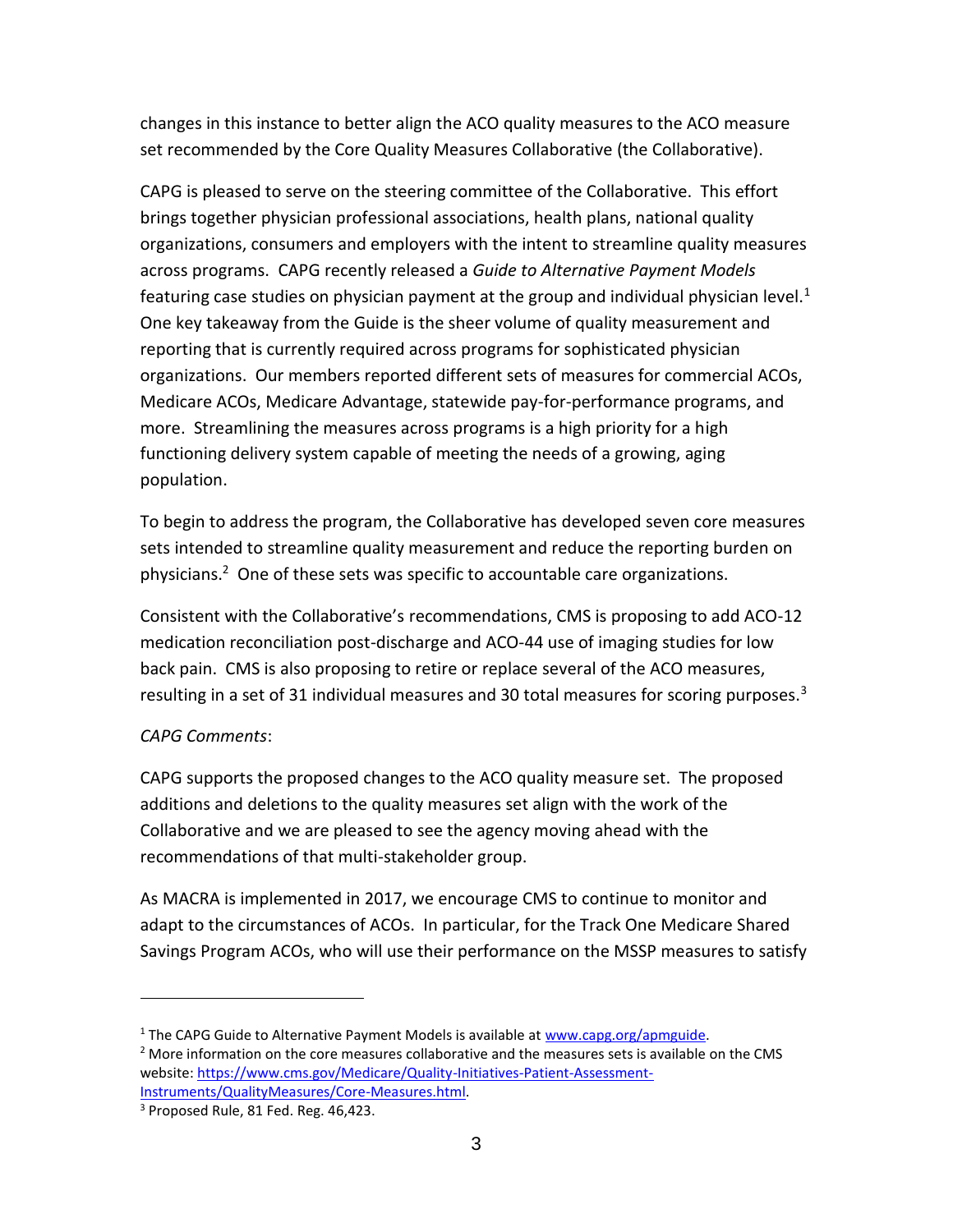changes in this instance to better align the ACO quality measures to the ACO measure set recommended by the Core Quality Measures Collaborative (the Collaborative).

CAPG is pleased to serve on the steering committee of the Collaborative. This effort brings together physician professional associations, health plans, national quality organizations, consumers and employers with the intent to streamline quality measures across programs. CAPG recently released a *Guide to Alternative Payment Models* featuring case studies on physician payment at the group and individual physician level.<sup>1</sup> One key takeaway from the Guide is the sheer volume of quality measurement and reporting that is currently required across programs for sophisticated physician organizations. Our members reported different sets of measures for commercial ACOs, Medicare ACOs, Medicare Advantage, statewide pay-for-performance programs, and more. Streamlining the measures across programs is a high priority for a high functioning delivery system capable of meeting the needs of a growing, aging population.

To begin to address the program, the Collaborative has developed seven core measures sets intended to streamline quality measurement and reduce the reporting burden on physicians.<sup>2</sup> One of these sets was specific to accountable care organizations.

Consistent with the Collaborative's recommendations, CMS is proposing to add ACO-12 medication reconciliation post-discharge and ACO-44 use of imaging studies for low back pain. CMS is also proposing to retire or replace several of the ACO measures, resulting in a set of 31 individual measures and 30 total measures for scoring purposes. $3$ 

## *CAPG Comments*:

 $\overline{\phantom{a}}$ 

CAPG supports the proposed changes to the ACO quality measure set. The proposed additions and deletions to the quality measures set align with the work of the Collaborative and we are pleased to see the agency moving ahead with the recommendations of that multi-stakeholder group.

As MACRA is implemented in 2017, we encourage CMS to continue to monitor and adapt to the circumstances of ACOs. In particular, for the Track One Medicare Shared Savings Program ACOs, who will use their performance on the MSSP measures to satisfy

<sup>&</sup>lt;sup>1</sup> The CAPG Guide to Alternative Payment Models is available at [www.capg.org/apmguide.](http://www.capg.org/apmguide)

 $<sup>2</sup>$  More information on the core measures collaborative and the measures sets is available on the CMS</sup> website: [https://www.cms.gov/Medicare/Quality-Initiatives-Patient-Assessment-](https://www.cms.gov/Medicare/Quality-Initiatives-Patient-Assessment-Instruments/QualityMeasures/Core-Measures.html)[Instruments/QualityMeasures/Core-Measures.html.](https://www.cms.gov/Medicare/Quality-Initiatives-Patient-Assessment-Instruments/QualityMeasures/Core-Measures.html) 

<sup>&</sup>lt;sup>3</sup> Proposed Rule, 81 Fed. Reg. 46,423.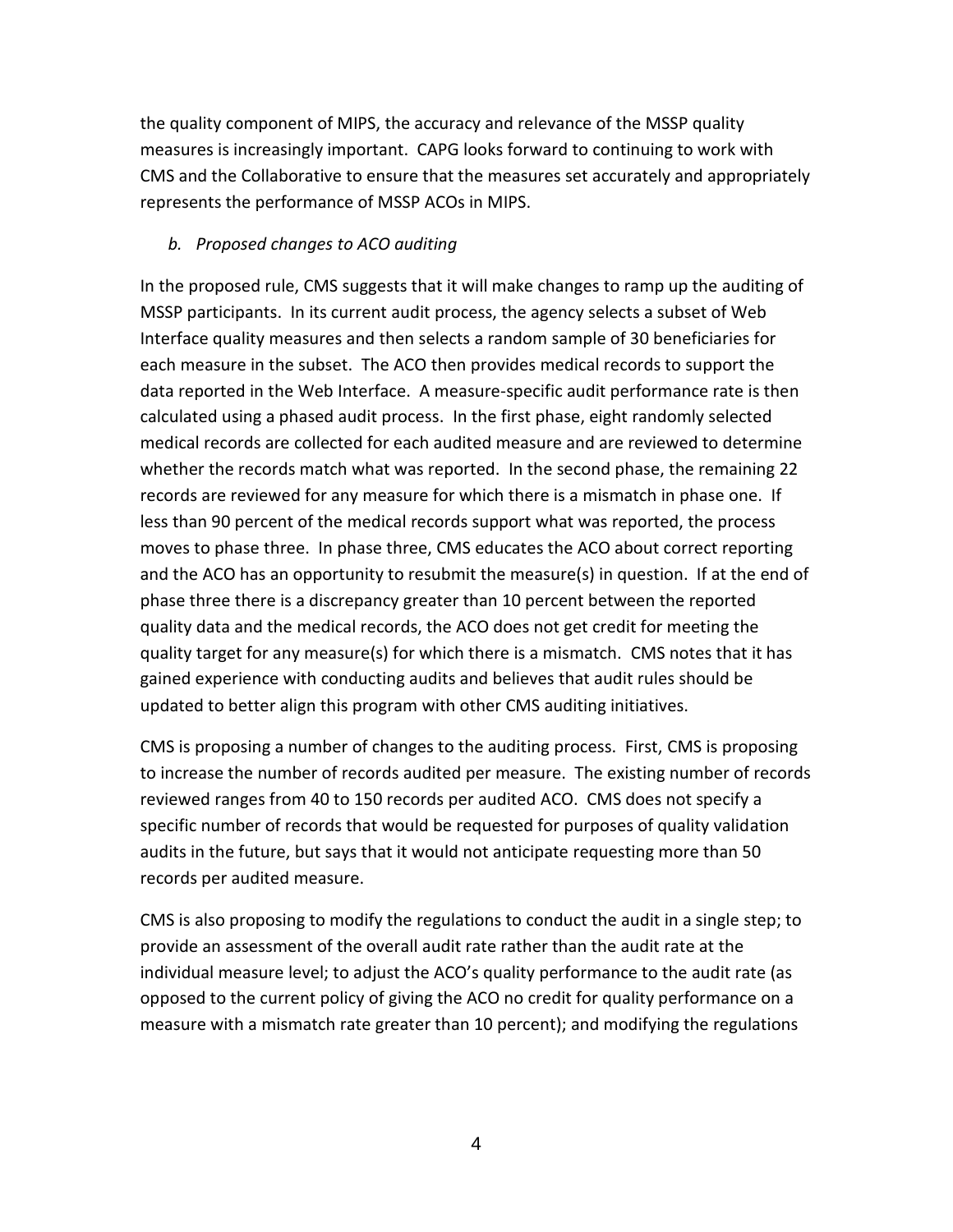the quality component of MIPS, the accuracy and relevance of the MSSP quality measures is increasingly important. CAPG looks forward to continuing to work with CMS and the Collaborative to ensure that the measures set accurately and appropriately represents the performance of MSSP ACOs in MIPS.

### *b. Proposed changes to ACO auditing*

In the proposed rule, CMS suggests that it will make changes to ramp up the auditing of MSSP participants. In its current audit process, the agency selects a subset of Web Interface quality measures and then selects a random sample of 30 beneficiaries for each measure in the subset. The ACO then provides medical records to support the data reported in the Web Interface. A measure-specific audit performance rate is then calculated using a phased audit process. In the first phase, eight randomly selected medical records are collected for each audited measure and are reviewed to determine whether the records match what was reported. In the second phase, the remaining 22 records are reviewed for any measure for which there is a mismatch in phase one. If less than 90 percent of the medical records support what was reported, the process moves to phase three. In phase three, CMS educates the ACO about correct reporting and the ACO has an opportunity to resubmit the measure(s) in question. If at the end of phase three there is a discrepancy greater than 10 percent between the reported quality data and the medical records, the ACO does not get credit for meeting the quality target for any measure(s) for which there is a mismatch. CMS notes that it has gained experience with conducting audits and believes that audit rules should be updated to better align this program with other CMS auditing initiatives.

CMS is proposing a number of changes to the auditing process. First, CMS is proposing to increase the number of records audited per measure. The existing number of records reviewed ranges from 40 to 150 records per audited ACO. CMS does not specify a specific number of records that would be requested for purposes of quality validation audits in the future, but says that it would not anticipate requesting more than 50 records per audited measure.

CMS is also proposing to modify the regulations to conduct the audit in a single step; to provide an assessment of the overall audit rate rather than the audit rate at the individual measure level; to adjust the ACO's quality performance to the audit rate (as opposed to the current policy of giving the ACO no credit for quality performance on a measure with a mismatch rate greater than 10 percent); and modifying the regulations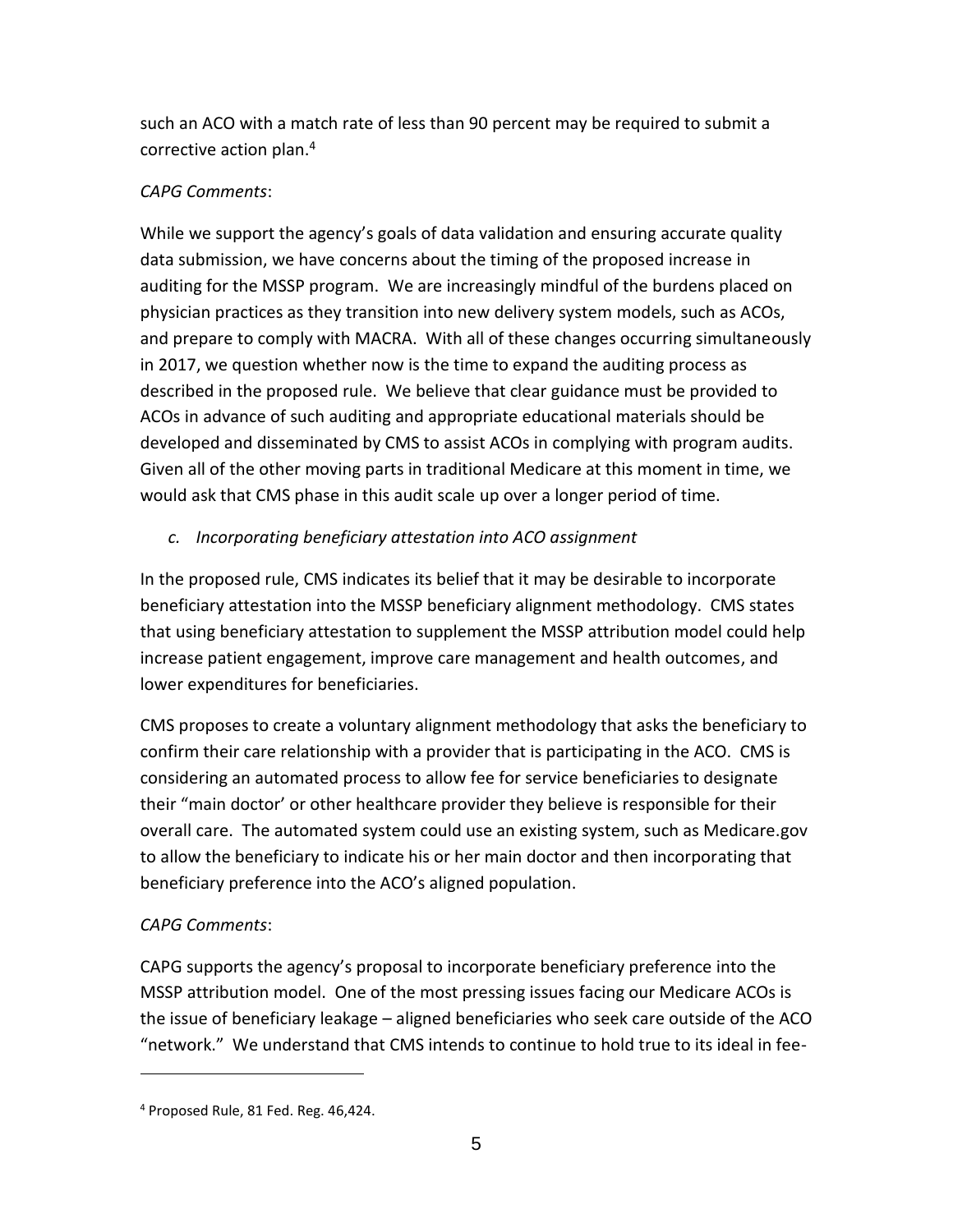such an ACO with a match rate of less than 90 percent may be required to submit a corrective action plan.<sup>4</sup>

## *CAPG Comments*:

While we support the agency's goals of data validation and ensuring accurate quality data submission, we have concerns about the timing of the proposed increase in auditing for the MSSP program. We are increasingly mindful of the burdens placed on physician practices as they transition into new delivery system models, such as ACOs, and prepare to comply with MACRA. With all of these changes occurring simultaneously in 2017, we question whether now is the time to expand the auditing process as described in the proposed rule. We believe that clear guidance must be provided to ACOs in advance of such auditing and appropriate educational materials should be developed and disseminated by CMS to assist ACOs in complying with program audits. Given all of the other moving parts in traditional Medicare at this moment in time, we would ask that CMS phase in this audit scale up over a longer period of time.

### *c. Incorporating beneficiary attestation into ACO assignment*

In the proposed rule, CMS indicates its belief that it may be desirable to incorporate beneficiary attestation into the MSSP beneficiary alignment methodology. CMS states that using beneficiary attestation to supplement the MSSP attribution model could help increase patient engagement, improve care management and health outcomes, and lower expenditures for beneficiaries.

CMS proposes to create a voluntary alignment methodology that asks the beneficiary to confirm their care relationship with a provider that is participating in the ACO. CMS is considering an automated process to allow fee for service beneficiaries to designate their "main doctor' or other healthcare provider they believe is responsible for their overall care. The automated system could use an existing system, such as Medicare.gov to allow the beneficiary to indicate his or her main doctor and then incorporating that beneficiary preference into the ACO's aligned population.

## *CAPG Comments*:

 $\overline{\phantom{a}}$ 

CAPG supports the agency's proposal to incorporate beneficiary preference into the MSSP attribution model. One of the most pressing issues facing our Medicare ACOs is the issue of beneficiary leakage – aligned beneficiaries who seek care outside of the ACO "network." We understand that CMS intends to continue to hold true to its ideal in fee-

<sup>4</sup> Proposed Rule, 81 Fed. Reg. 46,424.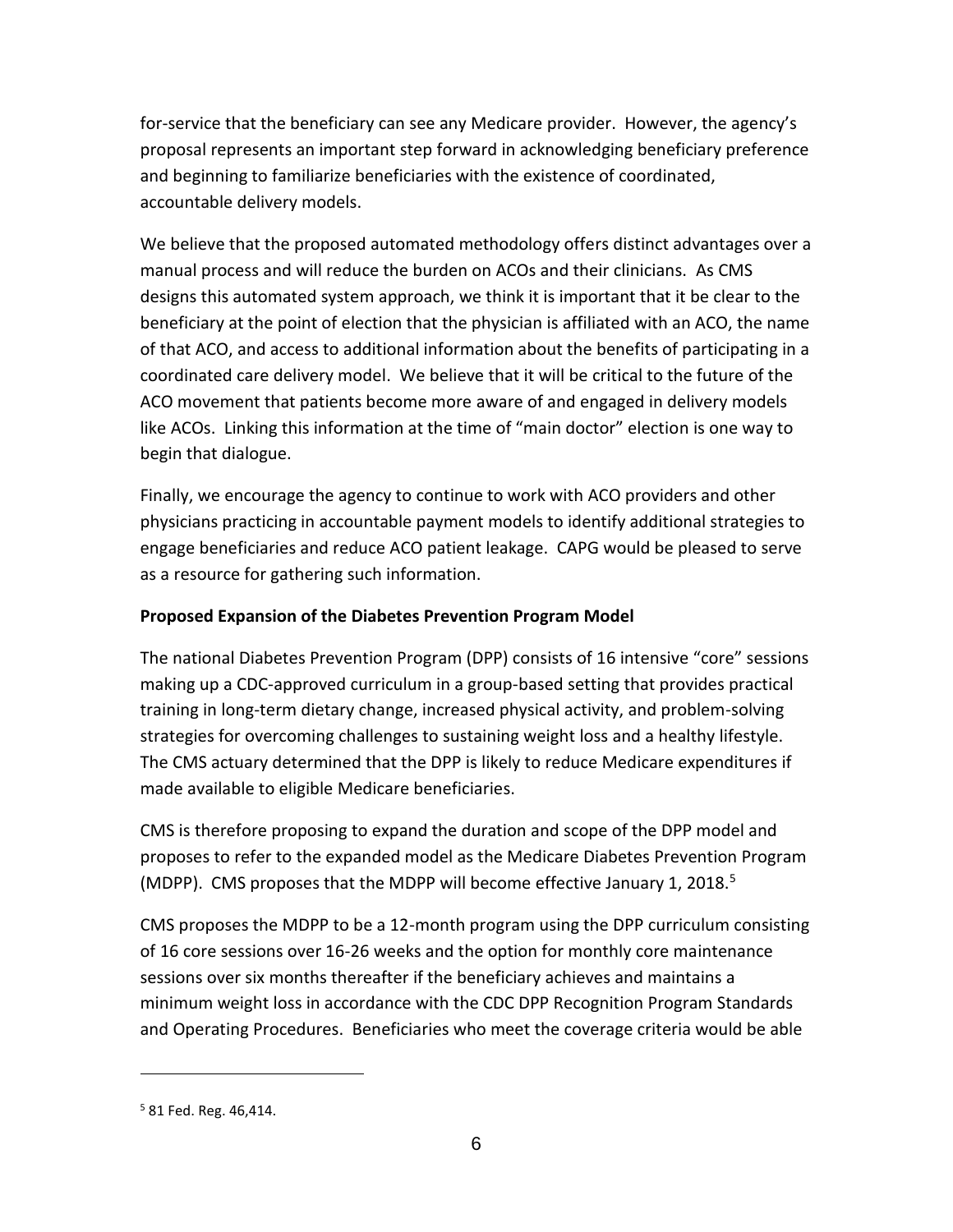for-service that the beneficiary can see any Medicare provider. However, the agency's proposal represents an important step forward in acknowledging beneficiary preference and beginning to familiarize beneficiaries with the existence of coordinated, accountable delivery models.

We believe that the proposed automated methodology offers distinct advantages over a manual process and will reduce the burden on ACOs and their clinicians. As CMS designs this automated system approach, we think it is important that it be clear to the beneficiary at the point of election that the physician is affiliated with an ACO, the name of that ACO, and access to additional information about the benefits of participating in a coordinated care delivery model. We believe that it will be critical to the future of the ACO movement that patients become more aware of and engaged in delivery models like ACOs. Linking this information at the time of "main doctor" election is one way to begin that dialogue.

Finally, we encourage the agency to continue to work with ACO providers and other physicians practicing in accountable payment models to identify additional strategies to engage beneficiaries and reduce ACO patient leakage. CAPG would be pleased to serve as a resource for gathering such information.

## **Proposed Expansion of the Diabetes Prevention Program Model**

The national Diabetes Prevention Program (DPP) consists of 16 intensive "core" sessions making up a CDC-approved curriculum in a group-based setting that provides practical training in long-term dietary change, increased physical activity, and problem-solving strategies for overcoming challenges to sustaining weight loss and a healthy lifestyle. The CMS actuary determined that the DPP is likely to reduce Medicare expenditures if made available to eligible Medicare beneficiaries.

CMS is therefore proposing to expand the duration and scope of the DPP model and proposes to refer to the expanded model as the Medicare Diabetes Prevention Program (MDPP). CMS proposes that the MDPP will become effective January 1, 2018.<sup>5</sup>

CMS proposes the MDPP to be a 12-month program using the DPP curriculum consisting of 16 core sessions over 16-26 weeks and the option for monthly core maintenance sessions over six months thereafter if the beneficiary achieves and maintains a minimum weight loss in accordance with the CDC DPP Recognition Program Standards and Operating Procedures. Beneficiaries who meet the coverage criteria would be able

 $\overline{\phantom{a}}$ 

<sup>5</sup> 81 Fed. Reg. 46,414.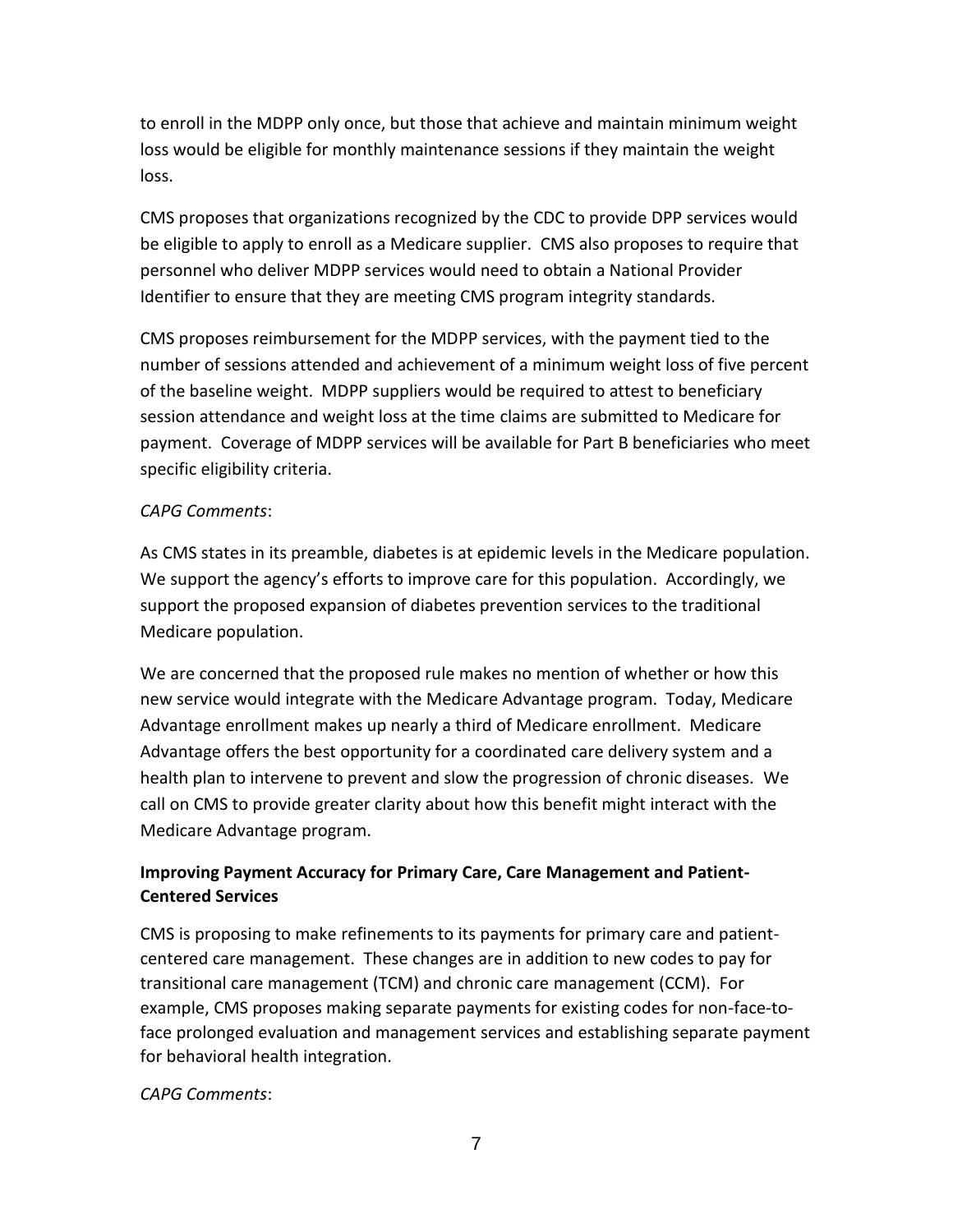to enroll in the MDPP only once, but those that achieve and maintain minimum weight loss would be eligible for monthly maintenance sessions if they maintain the weight loss.

CMS proposes that organizations recognized by the CDC to provide DPP services would be eligible to apply to enroll as a Medicare supplier. CMS also proposes to require that personnel who deliver MDPP services would need to obtain a National Provider Identifier to ensure that they are meeting CMS program integrity standards.

CMS proposes reimbursement for the MDPP services, with the payment tied to the number of sessions attended and achievement of a minimum weight loss of five percent of the baseline weight. MDPP suppliers would be required to attest to beneficiary session attendance and weight loss at the time claims are submitted to Medicare for payment. Coverage of MDPP services will be available for Part B beneficiaries who meet specific eligibility criteria.

### *CAPG Comments*:

As CMS states in its preamble, diabetes is at epidemic levels in the Medicare population. We support the agency's efforts to improve care for this population. Accordingly, we support the proposed expansion of diabetes prevention services to the traditional Medicare population.

We are concerned that the proposed rule makes no mention of whether or how this new service would integrate with the Medicare Advantage program. Today, Medicare Advantage enrollment makes up nearly a third of Medicare enrollment. Medicare Advantage offers the best opportunity for a coordinated care delivery system and a health plan to intervene to prevent and slow the progression of chronic diseases. We call on CMS to provide greater clarity about how this benefit might interact with the Medicare Advantage program.

# **Improving Payment Accuracy for Primary Care, Care Management and Patient-Centered Services**

CMS is proposing to make refinements to its payments for primary care and patientcentered care management. These changes are in addition to new codes to pay for transitional care management (TCM) and chronic care management (CCM). For example, CMS proposes making separate payments for existing codes for non-face-toface prolonged evaluation and management services and establishing separate payment for behavioral health integration.

## *CAPG Comments*: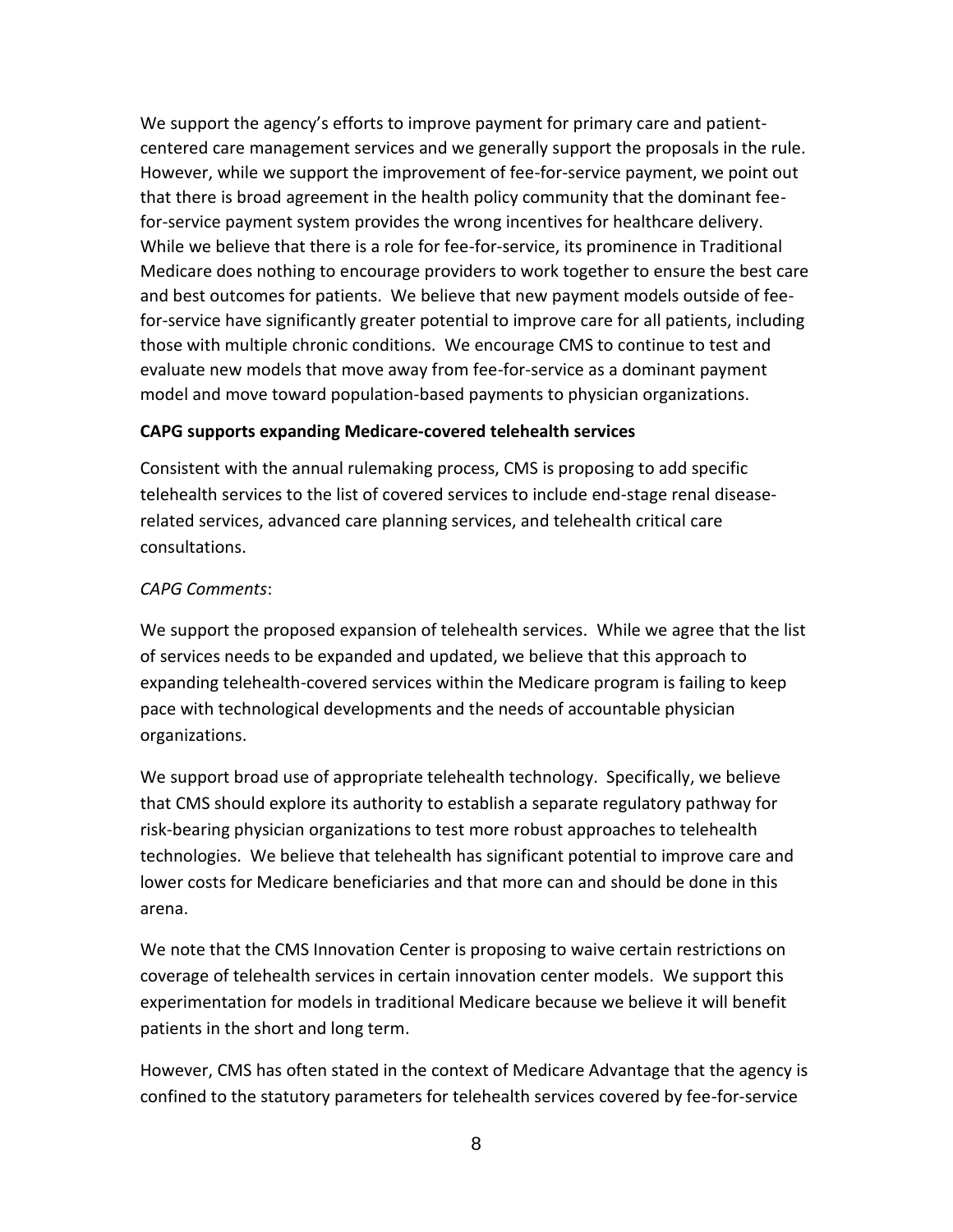We support the agency's efforts to improve payment for primary care and patientcentered care management services and we generally support the proposals in the rule. However, while we support the improvement of fee-for-service payment, we point out that there is broad agreement in the health policy community that the dominant feefor-service payment system provides the wrong incentives for healthcare delivery. While we believe that there is a role for fee-for-service, its prominence in Traditional Medicare does nothing to encourage providers to work together to ensure the best care and best outcomes for patients. We believe that new payment models outside of feefor-service have significantly greater potential to improve care for all patients, including those with multiple chronic conditions. We encourage CMS to continue to test and evaluate new models that move away from fee-for-service as a dominant payment model and move toward population-based payments to physician organizations.

### **CAPG supports expanding Medicare-covered telehealth services**

Consistent with the annual rulemaking process, CMS is proposing to add specific telehealth services to the list of covered services to include end-stage renal diseaserelated services, advanced care planning services, and telehealth critical care consultations.

### *CAPG Comments*:

We support the proposed expansion of telehealth services. While we agree that the list of services needs to be expanded and updated, we believe that this approach to expanding telehealth-covered services within the Medicare program is failing to keep pace with technological developments and the needs of accountable physician organizations.

We support broad use of appropriate telehealth technology. Specifically, we believe that CMS should explore its authority to establish a separate regulatory pathway for risk-bearing physician organizations to test more robust approaches to telehealth technologies. We believe that telehealth has significant potential to improve care and lower costs for Medicare beneficiaries and that more can and should be done in this arena.

We note that the CMS Innovation Center is proposing to waive certain restrictions on coverage of telehealth services in certain innovation center models. We support this experimentation for models in traditional Medicare because we believe it will benefit patients in the short and long term.

However, CMS has often stated in the context of Medicare Advantage that the agency is confined to the statutory parameters for telehealth services covered by fee-for-service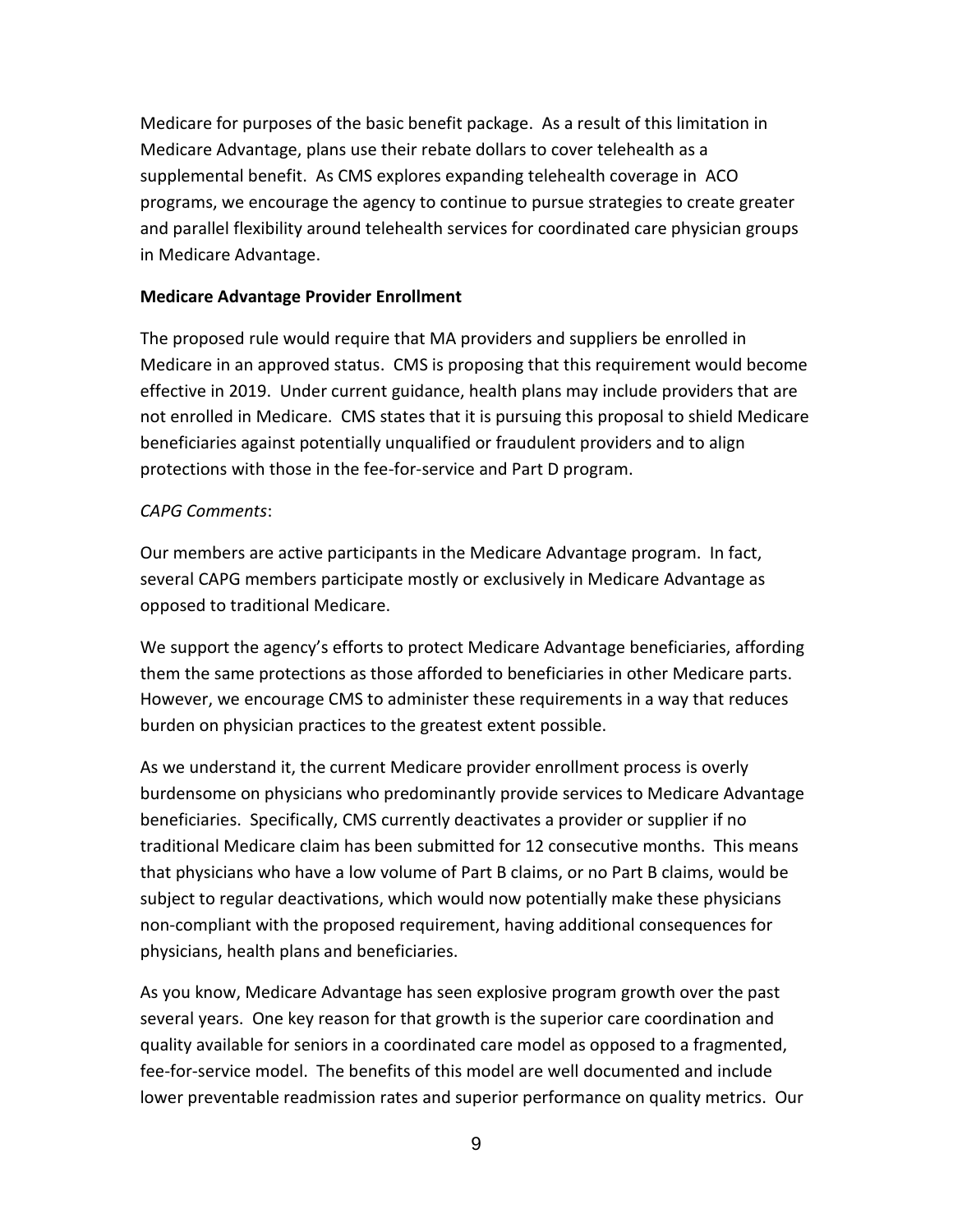Medicare for purposes of the basic benefit package. As a result of this limitation in Medicare Advantage, plans use their rebate dollars to cover telehealth as a supplemental benefit. As CMS explores expanding telehealth coverage in ACO programs, we encourage the agency to continue to pursue strategies to create greater and parallel flexibility around telehealth services for coordinated care physician groups in Medicare Advantage.

### **Medicare Advantage Provider Enrollment**

The proposed rule would require that MA providers and suppliers be enrolled in Medicare in an approved status. CMS is proposing that this requirement would become effective in 2019. Under current guidance, health plans may include providers that are not enrolled in Medicare. CMS states that it is pursuing this proposal to shield Medicare beneficiaries against potentially unqualified or fraudulent providers and to align protections with those in the fee-for-service and Part D program.

### *CAPG Comments*:

Our members are active participants in the Medicare Advantage program. In fact, several CAPG members participate mostly or exclusively in Medicare Advantage as opposed to traditional Medicare.

We support the agency's efforts to protect Medicare Advantage beneficiaries, affording them the same protections as those afforded to beneficiaries in other Medicare parts. However, we encourage CMS to administer these requirements in a way that reduces burden on physician practices to the greatest extent possible.

As we understand it, the current Medicare provider enrollment process is overly burdensome on physicians who predominantly provide services to Medicare Advantage beneficiaries. Specifically, CMS currently deactivates a provider or supplier if no traditional Medicare claim has been submitted for 12 consecutive months. This means that physicians who have a low volume of Part B claims, or no Part B claims, would be subject to regular deactivations, which would now potentially make these physicians non-compliant with the proposed requirement, having additional consequences for physicians, health plans and beneficiaries.

As you know, Medicare Advantage has seen explosive program growth over the past several years. One key reason for that growth is the superior care coordination and quality available for seniors in a coordinated care model as opposed to a fragmented, fee-for-service model. The benefits of this model are well documented and include lower preventable readmission rates and superior performance on quality metrics. Our